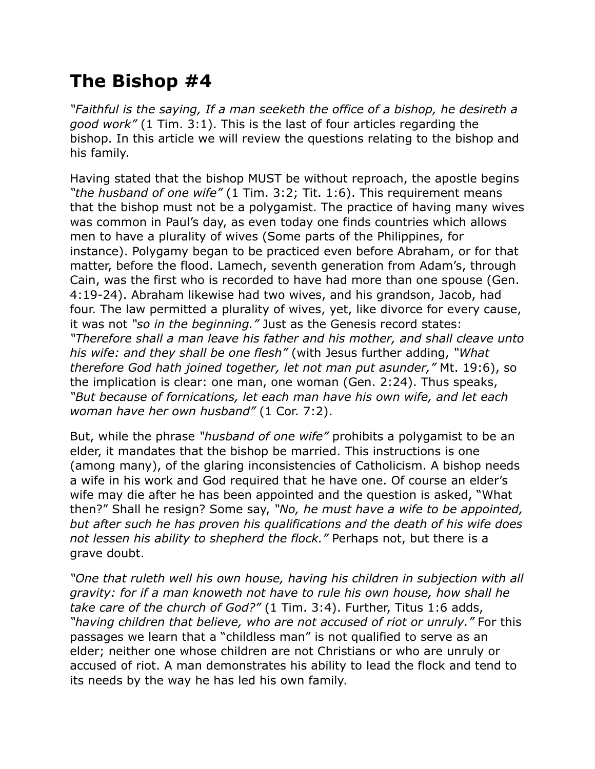## **The Bishop #4**

*"Faithful is the saying, If a man seeketh the office of a bishop, he desireth a good work"* (1 Tim. 3:1). This is the last of four articles regarding the bishop. In this article we will review the questions relating to the bishop and his family.

Having stated that the bishop MUST be without reproach, the apostle begins *"the husband of one wife"* (1 Tim. 3:2; Tit. 1:6). This requirement means that the bishop must not be a polygamist. The practice of having many wives was common in Paul's day, as even today one finds countries which allows men to have a plurality of wives (Some parts of the Philippines, for instance). Polygamy began to be practiced even before Abraham, or for that matter, before the flood. Lamech, seventh generation from Adam's, through Cain, was the first who is recorded to have had more than one spouse (Gen. 4:19-24). Abraham likewise had two wives, and his grandson, Jacob, had four. The law permitted a plurality of wives, yet, like divorce for every cause, it was not *"so in the beginning."* Just as the Genesis record states: *"Therefore shall a man leave his father and his mother, and shall cleave unto his wife: and they shall be one flesh"* (with Jesus further adding, *"What therefore God hath joined together, let not man put asunder,"* Mt. 19:6), so the implication is clear: one man, one woman (Gen. 2:24). Thus speaks, *"But because of fornications, let each man have his own wife, and let each woman have her own husband"* (1 Cor. 7:2).

But, while the phrase *"husband of one wife"* prohibits a polygamist to be an elder, it mandates that the bishop be married. This instructions is one (among many), of the glaring inconsistencies of Catholicism. A bishop needs a wife in his work and God required that he have one. Of course an elder's wife may die after he has been appointed and the question is asked, "What then?" Shall he resign? Some say, *"No, he must have a wife to be appointed, but after such he has proven his qualifications and the death of his wife does not lessen his ability to shepherd the flock."* Perhaps not, but there is a grave doubt.

*"One that ruleth well his own house, having his children in subjection with all gravity: for if a man knoweth not have to rule his own house, how shall he take care of the church of God?"* (1 Tim. 3:4). Further, Titus 1:6 adds, *"having children that believe, who are not accused of riot or unruly."* For this passages we learn that a "childless man" is not qualified to serve as an elder; neither one whose children are not Christians or who are unruly or accused of riot. A man demonstrates his ability to lead the flock and tend to its needs by the way he has led his own family.